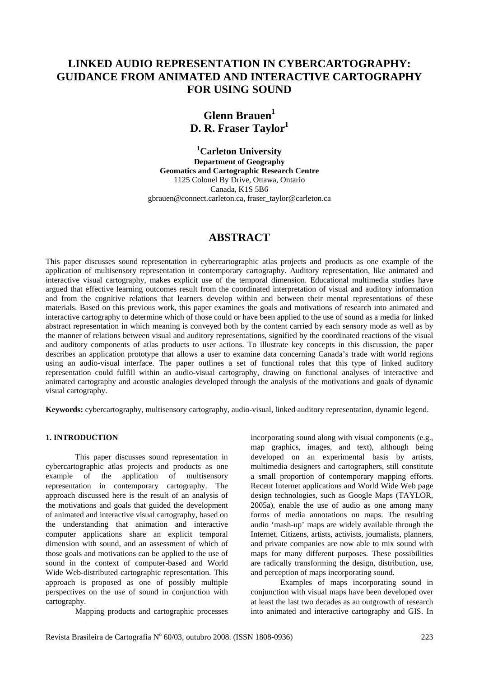# **LINKED AUDIO REPRESENTATION IN CYBERCARTOGRAPHY: GUIDANCE FROM ANIMATED AND INTERACTIVE CARTOGRAPHY FOR USING SOUND**

# **Glenn Brauen<sup>1</sup> D. R. Fraser Taylor**<sup>1</sup>

**1 Carleton University Department of Geography Geomatics and Cartographic Research Centre**  1125 Colonel By Drive, Ottawa, Ontario Canada, K1S 5B6 gbrauen@connect.carleton.ca, fraser\_taylor@carleton.ca

# **ABSTRACT**

This paper discusses sound representation in cybercartographic atlas projects and products as one example of the application of multisensory representation in contemporary cartography. Auditory representation, like animated and interactive visual cartography, makes explicit use of the temporal dimension. Educational multimedia studies have argued that effective learning outcomes result from the coordinated interpretation of visual and auditory information and from the cognitive relations that learners develop within and between their mental representations of these materials. Based on this previous work, this paper examines the goals and motivations of research into animated and interactive cartography to determine which of those could or have been applied to the use of sound as a media for linked abstract representation in which meaning is conveyed both by the content carried by each sensory mode as well as by the manner of relations between visual and auditory representations, signified by the coordinated reactions of the visual and auditory components of atlas products to user actions. To illustrate key concepts in this discussion, the paper describes an application prototype that allows a user to examine data concerning Canada's trade with world regions using an audio-visual interface. The paper outlines a set of functional roles that this type of linked auditory representation could fulfill within an audio-visual cartography, drawing on functional analyses of interactive and animated cartography and acoustic analogies developed through the analysis of the motivations and goals of dynamic visual cartography.

**Keywords:** cybercartography, multisensory cartography, audio-visual, linked auditory representation, dynamic legend.

## **1. INTRODUCTION**

This paper discusses sound representation in cybercartographic atlas projects and products as one example of the application of multisensory representation in contemporary cartography. The approach discussed here is the result of an analysis of the motivations and goals that guided the development of animated and interactive visual cartography, based on the understanding that animation and interactive computer applications share an explicit temporal dimension with sound, and an assessment of which of those goals and motivations can be applied to the use of sound in the context of computer-based and World Wide Web-distributed cartographic representation. This approach is proposed as one of possibly multiple perspectives on the use of sound in conjunction with cartography.

Mapping products and cartographic processes

incorporating sound along with visual components (e.g., map graphics, images, and text), although being developed on an experimental basis by artists, multimedia designers and cartographers, still constitute a small proportion of contemporary mapping efforts. Recent Internet applications and World Wide Web page design technologies, such as Google Maps (TAYLOR, 2005a), enable the use of audio as one among many forms of media annotations on maps. The resulting audio 'mash-up' maps are widely available through the Internet. Citizens, artists, activists, journalists, planners, and private companies are now able to mix sound with maps for many different purposes. These possibilities are radically transforming the design, distribution, use, and perception of maps incorporating sound.

Examples of maps incorporating sound in conjunction with visual maps have been developed over at least the last two decades as an outgrowth of research into animated and interactive cartography and GIS. In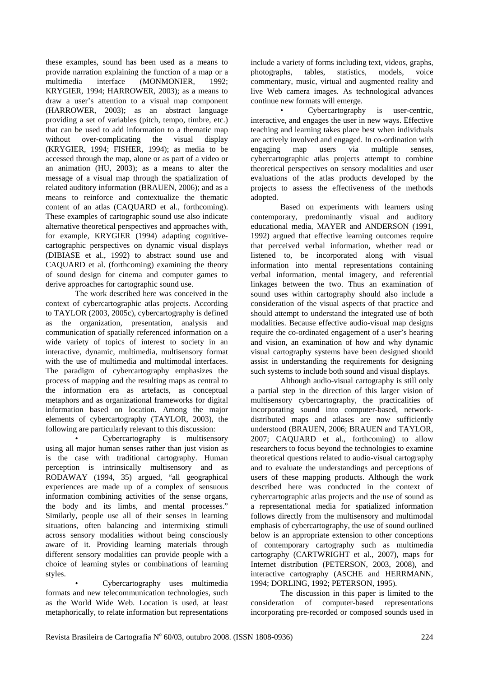these examples, sound has been used as a means to provide narration explaining the function of a map or a multimedia interface (MONMONIER, 1992; KRYGIER, 1994; HARROWER, 2003); as a means to draw a user's attention to a visual map component (HARROWER, 2003); as an abstract language providing a set of variables (pitch, tempo, timbre, etc.) that can be used to add information to a thematic map without over-complicating the visual display (KRYGIER, 1994; FISHER, 1994); as media to be accessed through the map, alone or as part of a video or an animation (HU, 2003); as a means to alter the message of a visual map through the spatialization of related auditory information (BRAUEN, 2006); and as a means to reinforce and contextualize the thematic content of an atlas (CAQUARD et al., forthcoming). These examples of cartographic sound use also indicate alternative theoretical perspectives and approaches with, for example, KRYGIER (1994) adapting cognitivecartographic perspectives on dynamic visual displays (DIBIASE et al., 1992) to abstract sound use and CAQUARD et al. (forthcoming) examining the theory of sound design for cinema and computer games to derive approaches for cartographic sound use.

The work described here was conceived in the context of cybercartographic atlas projects. According to TAYLOR (2003, 2005c), cybercartography is defined as the organization, presentation, analysis and communication of spatially referenced information on a wide variety of topics of interest to society in an interactive, dynamic, multimedia, multisensory format with the use of multimedia and multimodal interfaces. The paradigm of cybercartography emphasizes the process of mapping and the resulting maps as central to the information era as artefacts, as conceptual metaphors and as organizational frameworks for digital information based on location. Among the major elements of cybercartography (TAYLOR, 2003), the following are particularly relevant to this discussion:

• Cybercartography is multisensory using all major human senses rather than just vision as is the case with traditional cartography. Human perception is intrinsically multisensory and as RODAWAY (1994, 35) argued, "all geographical experiences are made up of a complex of sensuous information combining activities of the sense organs, the body and its limbs, and mental processes." Similarly, people use all of their senses in learning situations, often balancing and intermixing stimuli across sensory modalities without being consciously aware of it. Providing learning materials through different sensory modalities can provide people with a choice of learning styles or combinations of learning styles.

• Cybercartography uses multimedia formats and new telecommunication technologies, such as the World Wide Web. Location is used, at least metaphorically, to relate information but representations include a variety of forms including text, videos, graphs, photographs, tables, statistics, models, voice commentary, music, virtual and augmented reality and live Web camera images. As technological advances continue new formats will emerge.

Cybercartography is user-centric, interactive, and engages the user in new ways. Effective teaching and learning takes place best when individuals are actively involved and engaged. In co-ordination with engaging map users via multiple senses, cybercartographic atlas projects attempt to combine theoretical perspectives on sensory modalities and user evaluations of the atlas products developed by the projects to assess the effectiveness of the methods adopted.

Based on experiments with learners using contemporary, predominantly visual and auditory educational media, MAYER and ANDERSON (1991, 1992) argued that effective learning outcomes require that perceived verbal information, whether read or listened to, be incorporated along with visual information into mental representations containing verbal information, mental imagery, and referential linkages between the two. Thus an examination of sound uses within cartography should also include a consideration of the visual aspects of that practice and should attempt to understand the integrated use of both modalities. Because effective audio-visual map designs require the co-ordinated engagement of a user's hearing and vision, an examination of how and why dynamic visual cartography systems have been designed should assist in understanding the requirements for designing such systems to include both sound and visual displays.

Although audio-visual cartography is still only a partial step in the direction of this larger vision of multisensory cybercartography, the practicalities of incorporating sound into computer-based, networkdistributed maps and atlases are now sufficiently understood (BRAUEN, 2006; BRAUEN and TAYLOR, 2007; CAQUARD et al., forthcoming) to allow researchers to focus beyond the technologies to examine theoretical questions related to audio-visual cartography and to evaluate the understandings and perceptions of users of these mapping products. Although the work described here was conducted in the context of cybercartographic atlas projects and the use of sound as a representational media for spatialized information follows directly from the multisensory and multimodal emphasis of cybercartography, the use of sound outlined below is an appropriate extension to other conceptions of contemporary cartography such as multimedia cartography (CARTWRIGHT et al., 2007), maps for Internet distribution (PETERSON, 2003, 2008), and interactive cartography (ASCHE and HERRMANN, 1994; DORLING, 1992; PETERSON, 1995).

The discussion in this paper is limited to the consideration of computer-based representations incorporating pre-recorded or composed sounds used in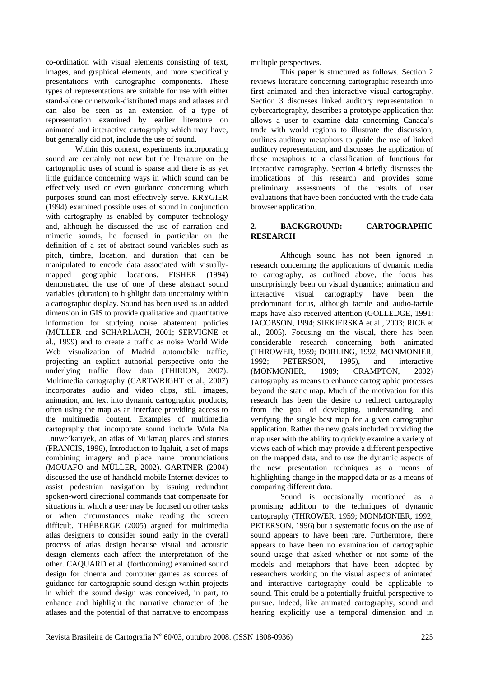co-ordination with visual elements consisting of text, images, and graphical elements, and more specifically presentations with cartographic components. These types of representations are suitable for use with either stand-alone or network-distributed maps and atlases and can also be seen as an extension of a type of representation examined by earlier literature on animated and interactive cartography which may have, but generally did not, include the use of sound.

Within this context, experiments incorporating sound are certainly not new but the literature on the cartographic uses of sound is sparse and there is as yet little guidance concerning ways in which sound can be effectively used or even guidance concerning which purposes sound can most effectively serve. KRYGIER (1994) examined possible uses of sound in conjunction with cartography as enabled by computer technology and, although he discussed the use of narration and mimetic sounds, he focused in particular on the definition of a set of abstract sound variables such as pitch, timbre, location, and duration that can be manipulated to encode data associated with visuallymapped geographic locations. FISHER (1994) demonstrated the use of one of these abstract sound variables (duration) to highlight data uncertainty within a cartographic display. Sound has been used as an added dimension in GIS to provide qualitative and quantitative information for studying noise abatement policies (MÜLLER and SCHARLACH, 2001; SERVIGNE et al., 1999) and to create a traffic as noise World Wide Web visualization of Madrid automobile traffic, projecting an explicit authorial perspective onto the underlying traffic flow data (THIRION, 2007). Multimedia cartography (CARTWRIGHT et al., 2007) incorporates audio and video clips, still images, animation, and text into dynamic cartographic products, often using the map as an interface providing access to the multimedia content. Examples of multimedia cartography that incorporate sound include Wula Na Lnuwe'katiyek, an atlas of Mi'kmaq places and stories (FRANCIS, 1996), Introduction to Iqaluit, a set of maps combining imagery and place name pronunciations (MOUAFO and MÜLLER, 2002). GARTNER (2004) discussed the use of handheld mobile Internet devices to assist pedestrian navigation by issuing redundant spoken-word directional commands that compensate for situations in which a user may be focused on other tasks or when circumstances make reading the screen difficult. THÉBERGE (2005) argued for multimedia atlas designers to consider sound early in the overall process of atlas design because visual and acoustic design elements each affect the interpretation of the other. CAQUARD et al. (forthcoming) examined sound design for cinema and computer games as sources of guidance for cartographic sound design within projects in which the sound design was conceived, in part, to enhance and highlight the narrative character of the atlases and the potential of that narrative to encompass multiple perspectives.

This paper is structured as follows. Section 2 reviews literature concerning cartographic research into first animated and then interactive visual cartography. Section 3 discusses linked auditory representation in cybercartography, describes a prototype application that allows a user to examine data concerning Canada's trade with world regions to illustrate the discussion, outlines auditory metaphors to guide the use of linked auditory representation, and discusses the application of these metaphors to a classification of functions for interactive cartography. Section 4 briefly discusses the implications of this research and provides some preliminary assessments of the results of user evaluations that have been conducted with the trade data browser application.

## **2. BACKGROUND: CARTOGRAPHIC RESEARCH**

Although sound has not been ignored in research concerning the applications of dynamic media to cartography, as outlined above, the focus has unsurprisingly been on visual dynamics; animation and interactive visual cartography have been the predominant focus, although tactile and audio-tactile maps have also received attention (GOLLEDGE, 1991; JACOBSON, 1994; SIEKIERSKA et al., 2003; RICE et al., 2005). Focusing on the visual, there has been considerable research concerning both animated (THROWER, 1959; DORLING, 1992; MONMONIER, 1992; PETERSON, 1995), and interactive (MONMONIER, 1989; CRAMPTON, 2002) cartography as means to enhance cartographic processes beyond the static map. Much of the motivation for this research has been the desire to redirect cartography from the goal of developing, understanding, and verifying the single best map for a given cartographic application. Rather the new goals included providing the map user with the ability to quickly examine a variety of views each of which may provide a different perspective on the mapped data, and to use the dynamic aspects of the new presentation techniques as a means of highlighting change in the mapped data or as a means of comparing different data.

Sound is occasionally mentioned as a promising addition to the techniques of dynamic cartography (THROWER, 1959; MONMONIER, 1992; PETERSON, 1996) but a systematic focus on the use of sound appears to have been rare. Furthermore, there appears to have been no examination of cartographic sound usage that asked whether or not some of the models and metaphors that have been adopted by researchers working on the visual aspects of animated and interactive cartography could be applicable to sound. This could be a potentially fruitful perspective to pursue. Indeed, like animated cartography, sound and hearing explicitly use a temporal dimension and in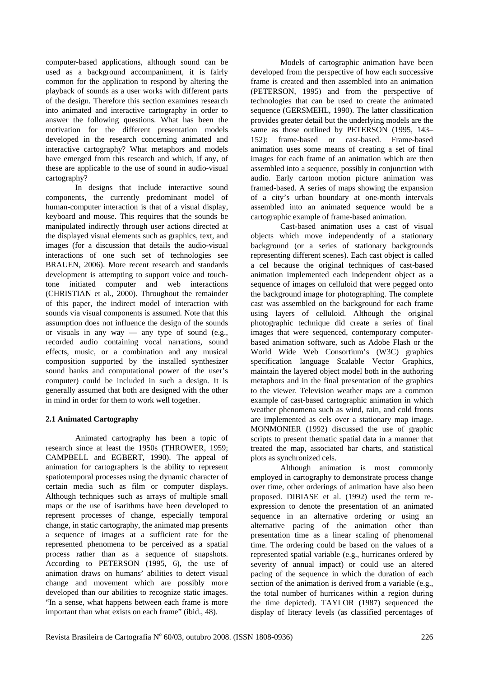computer-based applications, although sound can be used as a background accompaniment, it is fairly common for the application to respond by altering the playback of sounds as a user works with different parts of the design. Therefore this section examines research into animated and interactive cartography in order to answer the following questions. What has been the motivation for the different presentation models developed in the research concerning animated and interactive cartography? What metaphors and models have emerged from this research and which, if any, of these are applicable to the use of sound in audio-visual cartography?

In designs that include interactive sound components, the currently predominant model of human-computer interaction is that of a visual display, keyboard and mouse. This requires that the sounds be manipulated indirectly through user actions directed at the displayed visual elements such as graphics, text, and images (for a discussion that details the audio-visual interactions of one such set of technologies see BRAUEN, 2006). More recent research and standards development is attempting to support voice and touchtone initiated computer and web interactions (CHRISTIAN et al., 2000). Throughout the remainder of this paper, the indirect model of interaction with sounds via visual components is assumed. Note that this assumption does not influence the design of the sounds or visuals in any way — any type of sound  $(e.g.,)$ recorded audio containing vocal narrations, sound effects, music, or a combination and any musical composition supported by the installed synthesizer sound banks and computational power of the user's computer) could be included in such a design. It is generally assumed that both are designed with the other in mind in order for them to work well together.

### **2.1 Animated Cartography**

Animated cartography has been a topic of research since at least the 1950s (THROWER, 1959; CAMPBELL and EGBERT, 1990). The appeal of animation for cartographers is the ability to represent spatiotemporal processes using the dynamic character of certain media such as film or computer displays. Although techniques such as arrays of multiple small maps or the use of isarithms have been developed to represent processes of change, especially temporal change, in static cartography, the animated map presents a sequence of images at a sufficient rate for the represented phenomena to be perceived as a spatial process rather than as a sequence of snapshots. According to PETERSON (1995, 6), the use of animation draws on humans' abilities to detect visual change and movement which are possibly more developed than our abilities to recognize static images. "In a sense, what happens between each frame is more important than what exists on each frame" (ibid., 48).

Models of cartographic animation have been developed from the perspective of how each successive frame is created and then assembled into an animation (PETERSON, 1995) and from the perspective of technologies that can be used to create the animated sequence (GERSMEHL, 1990). The latter classification provides greater detail but the underlying models are the same as those outlined by PETERSON (1995, 143– 152): frame-based or cast-based. Frame-based animation uses some means of creating a set of final images for each frame of an animation which are then assembled into a sequence, possibly in conjunction with audio. Early cartoon motion picture animation was framed-based. A series of maps showing the expansion of a city's urban boundary at one-month intervals assembled into an animated sequence would be a cartographic example of frame-based animation.

Cast-based animation uses a cast of visual objects which move independently of a stationary background (or a series of stationary backgrounds representing different scenes). Each cast object is called a cel because the original techniques of cast-based animation implemented each independent object as a sequence of images on celluloid that were pegged onto the background image for photographing. The complete cast was assembled on the background for each frame using layers of celluloid. Although the original photographic technique did create a series of final images that were sequenced, contemporary computerbased animation software, such as Adobe Flash or the World Wide Web Consortium's (W3C) graphics specification language Scalable Vector Graphics, maintain the layered object model both in the authoring metaphors and in the final presentation of the graphics to the viewer. Television weather maps are a common example of cast-based cartographic animation in which weather phenomena such as wind, rain, and cold fronts are implemented as cels over a stationary map image. MONMONIER (1992) discussed the use of graphic scripts to present thematic spatial data in a manner that treated the map, associated bar charts, and statistical plots as synchronized cels.

Although animation is most commonly employed in cartography to demonstrate process change over time, other orderings of animation have also been proposed. DIBIASE et al. (1992) used the term reexpression to denote the presentation of an animated sequence in an alternative ordering or using an alternative pacing of the animation other than presentation time as a linear scaling of phenomenal time. The ordering could be based on the values of a represented spatial variable (e.g., hurricanes ordered by severity of annual impact) or could use an altered pacing of the sequence in which the duration of each section of the animation is derived from a variable (e.g., the total number of hurricanes within a region during the time depicted). TAYLOR (1987) sequenced the display of literacy levels (as classified percentages of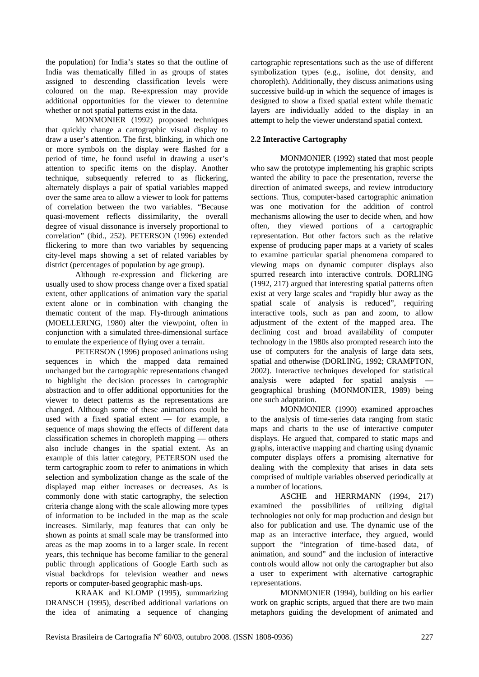the population) for India's states so that the outline of India was thematically filled in as groups of states assigned to descending classification levels were coloured on the map. Re-expression may provide additional opportunities for the viewer to determine whether or not spatial patterns exist in the data.

MONMONIER (1992) proposed techniques that quickly change a cartographic visual display to draw a user's attention. The first, blinking, in which one or more symbols on the display were flashed for a period of time, he found useful in drawing a user's attention to specific items on the display. Another technique, subsequently referred to as flickering, alternately displays a pair of spatial variables mapped over the same area to allow a viewer to look for patterns of correlation between the two variables. "Because quasi-movement reflects dissimilarity, the overall degree of visual dissonance is inversely proportional to correlation" (ibid., 252). PETERSON (1996) extended flickering to more than two variables by sequencing city-level maps showing a set of related variables by district (percentages of population by age group).

Although re-expression and flickering are usually used to show process change over a fixed spatial extent, other applications of animation vary the spatial extent alone or in combination with changing the thematic content of the map. Fly-through animations (MOELLERING, 1980) alter the viewpoint, often in conjunction with a simulated three-dimensional surface to emulate the experience of flying over a terrain.

PETERSON (1996) proposed animations using sequences in which the mapped data remained unchanged but the cartographic representations changed to highlight the decision processes in cartographic abstraction and to offer additional opportunities for the viewer to detect patterns as the representations are changed. Although some of these animations could be used with a fixed spatial extent — for example, a sequence of maps showing the effects of different data classification schemes in choropleth mapping — others also include changes in the spatial extent. As an example of this latter category, PETERSON used the term cartographic zoom to refer to animations in which selection and symbolization change as the scale of the displayed map either increases or decreases. As is commonly done with static cartography, the selection criteria change along with the scale allowing more types of information to be included in the map as the scale increases. Similarly, map features that can only be shown as points at small scale may be transformed into areas as the map zooms in to a larger scale. In recent years, this technique has become familiar to the general public through applications of Google Earth such as visual backdrops for television weather and news reports or computer-based geographic mash-ups.

KRAAK and KLOMP (1995), summarizing DRANSCH (1995), described additional variations on the idea of animating a sequence of changing cartographic representations such as the use of different symbolization types (e.g., isoline, dot density, and choropleth). Additionally, they discuss animations using successive build-up in which the sequence of images is designed to show a fixed spatial extent while thematic layers are individually added to the display in an attempt to help the viewer understand spatial context.

## **2.2 Interactive Cartography**

MONMONIER (1992) stated that most people who saw the prototype implementing his graphic scripts wanted the ability to pace the presentation, reverse the direction of animated sweeps, and review introductory sections. Thus, computer-based cartographic animation was one motivation for the addition of control mechanisms allowing the user to decide when, and how often, they viewed portions of a cartographic representation. But other factors such as the relative expense of producing paper maps at a variety of scales to examine particular spatial phenomena compared to viewing maps on dynamic computer displays also spurred research into interactive controls. DORLING (1992, 217) argued that interesting spatial patterns often exist at very large scales and "rapidly blur away as the spatial scale of analysis is reduced", requiring interactive tools, such as pan and zoom, to allow adjustment of the extent of the mapped area. The declining cost and broad availability of computer technology in the 1980s also prompted research into the use of computers for the analysis of large data sets, spatial and otherwise (DORLING, 1992; CRAMPTON, 2002). Interactive techniques developed for statistical analysis were adapted for spatial analysis geographical brushing (MONMONIER, 1989) being one such adaptation.

MONMONIER (1990) examined approaches to the analysis of time-series data ranging from static maps and charts to the use of interactive computer displays. He argued that, compared to static maps and graphs, interactive mapping and charting using dynamic computer displays offers a promising alternative for dealing with the complexity that arises in data sets comprised of multiple variables observed periodically at a number of locations.

ASCHE and HERRMANN (1994, 217) examined the possibilities of utilizing digital technologies not only for map production and design but also for publication and use. The dynamic use of the map as an interactive interface, they argued, would support the "integration of time-based data, of animation, and sound" and the inclusion of interactive controls would allow not only the cartographer but also a user to experiment with alternative cartographic representations.

MONMONIER (1994), building on his earlier work on graphic scripts, argued that there are two main metaphors guiding the development of animated and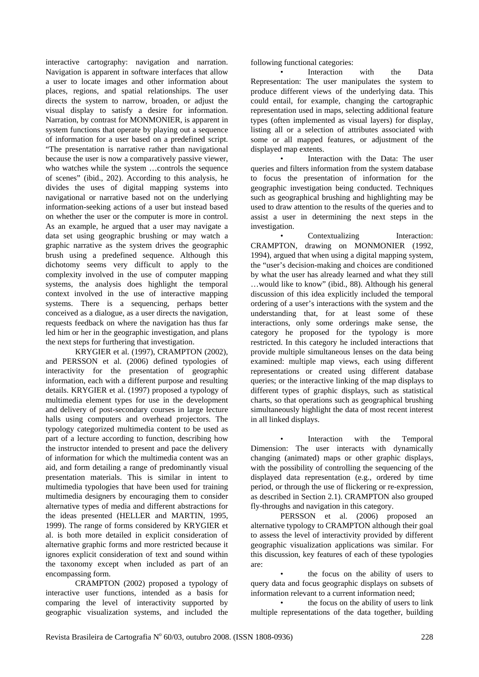interactive cartography: navigation and narration. Navigation is apparent in software interfaces that allow a user to locate images and other information about places, regions, and spatial relationships. The user directs the system to narrow, broaden, or adjust the visual display to satisfy a desire for information. Narration, by contrast for MONMONIER, is apparent in system functions that operate by playing out a sequence of information for a user based on a predefined script. "The presentation is narrative rather than navigational because the user is now a comparatively passive viewer, who watches while the system …controls the sequence of scenes" (ibid., 202). According to this analysis, he divides the uses of digital mapping systems into navigational or narrative based not on the underlying information-seeking actions of a user but instead based on whether the user or the computer is more in control. As an example, he argued that a user may navigate a data set using geographic brushing or may watch a graphic narrative as the system drives the geographic brush using a predefined sequence. Although this dichotomy seems very difficult to apply to the complexity involved in the use of computer mapping systems, the analysis does highlight the temporal context involved in the use of interactive mapping systems. There is a sequencing, perhaps better conceived as a dialogue, as a user directs the navigation, requests feedback on where the navigation has thus far led him or her in the geographic investigation, and plans the next steps for furthering that investigation.

KRYGIER et al. (1997), CRAMPTON (2002), and PERSSON et al. (2006) defined typologies of interactivity for the presentation of geographic information, each with a different purpose and resulting details. KRYGIER et al. (1997) proposed a typology of multimedia element types for use in the development and delivery of post-secondary courses in large lecture halls using computers and overhead projectors. The typology categorized multimedia content to be used as part of a lecture according to function, describing how the instructor intended to present and pace the delivery of information for which the multimedia content was an aid, and form detailing a range of predominantly visual presentation materials. This is similar in intent to multimedia typologies that have been used for training multimedia designers by encouraging them to consider alternative types of media and different abstractions for the ideas presented (HELLER and MARTIN, 1995, 1999). The range of forms considered by KRYGIER et al. is both more detailed in explicit consideration of alternative graphic forms and more restricted because it ignores explicit consideration of text and sound within the taxonomy except when included as part of an encompassing form.

CRAMPTON (2002) proposed a typology of interactive user functions, intended as a basis for comparing the level of interactivity supported by geographic visualization systems, and included the following functional categories:

Interaction with the Data Representation: The user manipulates the system to produce different views of the underlying data. This could entail, for example, changing the cartographic representation used in maps, selecting additional feature types (often implemented as visual layers) for display, listing all or a selection of attributes associated with some or all mapped features, or adjustment of the displayed map extents.

Interaction with the Data: The user queries and filters information from the system database to focus the presentation of information for the geographic investigation being conducted. Techniques such as geographical brushing and highlighting may be used to draw attention to the results of the queries and to assist a user in determining the next steps in the investigation.

Contextualizing Interaction: CRAMPTON, drawing on MONMONIER (1992, 1994), argued that when using a digital mapping system, the "user's decision-making and choices are conditioned by what the user has already learned and what they still …would like to know" (ibid., 88). Although his general discussion of this idea explicitly included the temporal ordering of a user's interactions with the system and the understanding that, for at least some of these interactions, only some orderings make sense, the category he proposed for the typology is more restricted. In this category he included interactions that provide multiple simultaneous lenses on the data being examined: multiple map views, each using different representations or created using different database queries; or the interactive linking of the map displays to different types of graphic displays, such as statistical charts, so that operations such as geographical brushing simultaneously highlight the data of most recent interest in all linked displays.

Interaction with the Temporal Dimension: The user interacts with dynamically changing (animated) maps or other graphic displays, with the possibility of controlling the sequencing of the displayed data representation (e.g., ordered by time period, or through the use of flickering or re-expression, as described in Section 2.1). CRAMPTON also grouped fly-throughs and navigation in this category.

PERSSON et al. (2006) proposed an alternative typology to CRAMPTON although their goal to assess the level of interactivity provided by different geographic visualization applications was similar. For this discussion, key features of each of these typologies are:

the focus on the ability of users to query data and focus geographic displays on subsets of information relevant to a current information need;

the focus on the ability of users to link multiple representations of the data together, building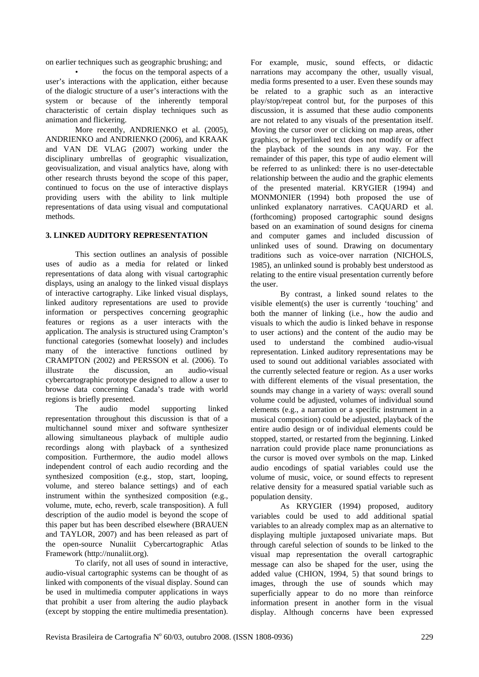on earlier techniques such as geographic brushing; and

the focus on the temporal aspects of a user's interactions with the application, either because of the dialogic structure of a user's interactions with the system or because of the inherently temporal characteristic of certain display techniques such as animation and flickering.

More recently, ANDRIENKO et al. (2005), ANDRIENKO and ANDRIENKO (2006), and KRAAK and VAN DE VLAG (2007) working under the disciplinary umbrellas of geographic visualization, geovisualization, and visual analytics have, along with other research thrusts beyond the scope of this paper, continued to focus on the use of interactive displays providing users with the ability to link multiple representations of data using visual and computational methods.

## **3. LINKED AUDITORY REPRESENTATION**

This section outlines an analysis of possible uses of audio as a media for related or linked representations of data along with visual cartographic displays, using an analogy to the linked visual displays of interactive cartography. Like linked visual displays, linked auditory representations are used to provide information or perspectives concerning geographic features or regions as a user interacts with the application. The analysis is structured using Crampton's functional categories (somewhat loosely) and includes many of the interactive functions outlined by CRAMPTON (2002) and PERSSON et al. (2006). To illustrate the discussion, an audio-visual cybercartographic prototype designed to allow a user to browse data concerning Canada's trade with world regions is briefly presented.

The audio model supporting linked representation throughout this discussion is that of a multichannel sound mixer and software synthesizer allowing simultaneous playback of multiple audio recordings along with playback of a synthesized composition. Furthermore, the audio model allows independent control of each audio recording and the synthesized composition (e.g., stop, start, looping, volume, and stereo balance settings) and of each instrument within the synthesized composition (e.g., volume, mute, echo, reverb, scale transposition). A full description of the audio model is beyond the scope of this paper but has been described elsewhere (BRAUEN and TAYLOR, 2007) and has been released as part of the open-source Nunaliit Cybercartographic Atlas Framework (http://nunaliit.org).

To clarify, not all uses of sound in interactive, audio-visual cartographic systems can be thought of as linked with components of the visual display. Sound can be used in multimedia computer applications in ways that prohibit a user from altering the audio playback (except by stopping the entire multimedia presentation). For example, music, sound effects, or didactic narrations may accompany the other, usually visual, media forms presented to a user. Even these sounds may be related to a graphic such as an interactive play/stop/repeat control but, for the purposes of this discussion, it is assumed that these audio components are not related to any visuals of the presentation itself. Moving the cursor over or clicking on map areas, other graphics, or hyperlinked text does not modify or affect the playback of the sounds in any way. For the remainder of this paper, this type of audio element will be referred to as unlinked: there is no user-detectable relationship between the audio and the graphic elements of the presented material. KRYGIER (1994) and MONMONIER (1994) both proposed the use of unlinked explanatory narratives. CAQUARD et al. (forthcoming) proposed cartographic sound designs based on an examination of sound designs for cinema and computer games and included discussion of unlinked uses of sound. Drawing on documentary traditions such as voice-over narration (NICHOLS, 1985), an unlinked sound is probably best understood as relating to the entire visual presentation currently before the user.

By contrast, a linked sound relates to the visible element(s) the user is currently 'touching' and both the manner of linking (i.e., how the audio and visuals to which the audio is linked behave in response to user actions) and the content of the audio may be used to understand the combined audio-visual representation. Linked auditory representations may be used to sound out additional variables associated with the currently selected feature or region. As a user works with different elements of the visual presentation, the sounds may change in a variety of ways: overall sound volume could be adjusted, volumes of individual sound elements (e.g., a narration or a specific instrument in a musical composition) could be adjusted, playback of the entire audio design or of individual elements could be stopped, started, or restarted from the beginning. Linked narration could provide place name pronunciations as the cursor is moved over symbols on the map. Linked audio encodings of spatial variables could use the volume of music, voice, or sound effects to represent relative density for a measured spatial variable such as population density.

As KRYGIER (1994) proposed, auditory variables could be used to add additional spatial variables to an already complex map as an alternative to displaying multiple juxtaposed univariate maps. But through careful selection of sounds to be linked to the visual map representation the overall cartographic message can also be shaped for the user, using the added value (CHION, 1994, 5) that sound brings to images, through the use of sounds which may superficially appear to do no more than reinforce information present in another form in the visual display. Although concerns have been expressed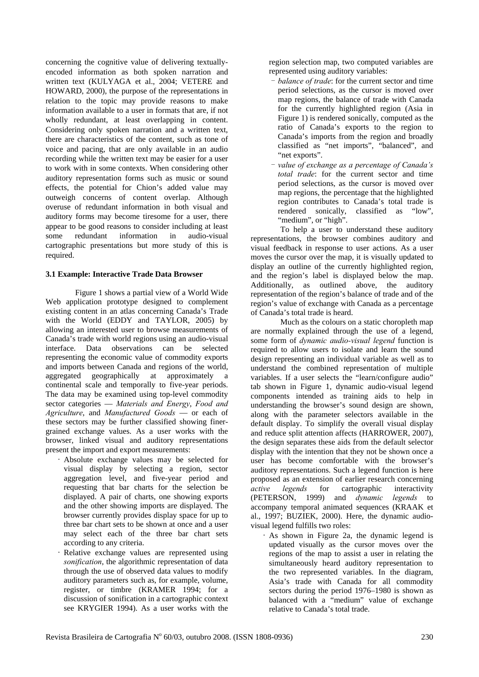concerning the cognitive value of delivering textuallyencoded information as both spoken narration and written text (KULYAGA et al., 2004; VETERE and HOWARD, 2000), the purpose of the representations in relation to the topic may provide reasons to make information available to a user in formats that are, if not wholly redundant, at least overlapping in content. Considering only spoken narration and a written text, there are characteristics of the content, such as tone of voice and pacing, that are only available in an audio recording while the written text may be easier for a user to work with in some contexts. When considering other auditory representation forms such as music or sound effects, the potential for Chion's added value may outweigh concerns of content overlap. Although overuse of redundant information in both visual and auditory forms may become tiresome for a user, there appear to be good reasons to consider including at least some redundant information in audio-visual cartographic presentations but more study of this is required.

#### **3.1 Example: Interactive Trade Data Browser**

Figure 1 shows a partial view of a World Wide Web application prototype designed to complement existing content in an atlas concerning Canada's Trade with the World (EDDY and TAYLOR, 2005) by allowing an interested user to browse measurements of Canada's trade with world regions using an audio-visual interface. Data observations can be selected representing the economic value of commodity exports and imports between Canada and regions of the world, aggregated geographically at approximately a continental scale and temporally to five-year periods. The data may be examined using top-level commodity sector categories — *Materials and Energy*, *Food and Agriculture*, and *Manufactured Goods* — or each of these sectors may be further classified showing finergrained exchange values. As a user works with the browser, linked visual and auditory representations present the import and export measurements:

- Absolute exchange values may be selected for visual display by selecting a region, sector aggregation level, and five-year period and requesting that bar charts for the selection be displayed. A pair of charts, one showing exports and the other showing imports are displayed. The browser currently provides display space for up to three bar chart sets to be shown at once and a user may select each of the three bar chart sets according to any criteria.
- Relative exchange values are represented using *sonification*, the algorithmic representation of data through the use of observed data values to modify auditory parameters such as, for example, volume, register, or timbre (KRAMER 1994; for a discussion of sonification in a cartographic context see KRYGIER 1994). As a user works with the

region selection map, two computed variables are represented using auditory variables:

- *balance of trade*: for the current sector and time period selections, as the cursor is moved over map regions, the balance of trade with Canada for the currently highlighted region (Asia in Figure 1) is rendered sonically, computed as the ratio of Canada's exports to the region to Canada's imports from the region and broadly classified as "net imports", "balanced", and "net exports".
- *value of exchange as a percentage of Canada's total trade*: for the current sector and time period selections, as the cursor is moved over map regions, the percentage that the highlighted region contributes to Canada's total trade is rendered sonically, classified as "low", "medium", or "high".

To help a user to understand these auditory representations, the browser combines auditory and visual feedback in response to user actions. As a user moves the cursor over the map, it is visually updated to display an outline of the currently highlighted region, and the region's label is displayed below the map. Additionally, as outlined above, the auditory representation of the region's balance of trade and of the region's value of exchange with Canada as a percentage of Canada's total trade is heard.

Much as the colours on a static choropleth map are normally explained through the use of a legend, some form of *dynamic audio-visual legend* function is required to allow users to isolate and learn the sound design representing an individual variable as well as to understand the combined representation of multiple variables. If a user selects the "learn/configure audio" tab shown in Figure 1, dynamic audio-visual legend components intended as training aids to help in understanding the browser's sound design are shown, along with the parameter selectors available in the default display. To simplify the overall visual display and reduce split attention affects (HARROWER, 2007), the design separates these aids from the default selector display with the intention that they not be shown once a user has become comfortable with the browser's auditory representations. Such a legend function is here proposed as an extension of earlier research concerning *active legends* for cartographic interactivity (PETERSON, 1999) and *dynamic legends* to (1999) and *dynamic legends* to accompany temporal animated sequences (KRAAK et al., 1997; BUZIEK, 2000). Here, the dynamic audiovisual legend fulfills two roles:

• As shown in Figure 2a, the dynamic legend is updated visually as the cursor moves over the regions of the map to assist a user in relating the simultaneously heard auditory representation to the two represented variables. In the diagram, Asia's trade with Canada for all commodity sectors during the period 1976–1980 is shown as balanced with a "medium" value of exchange relative to Canada's total trade.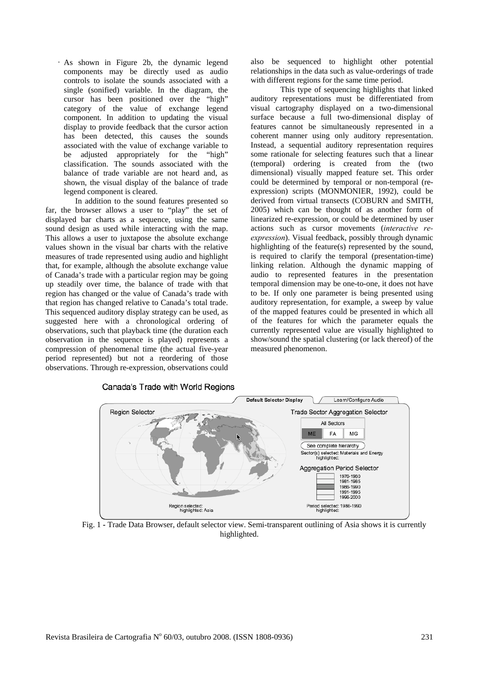• As shown in Figure 2b, the dynamic legend components may be directly used as audio controls to isolate the sounds associated with a single (sonified) variable. In the diagram, the cursor has been positioned over the "high" category of the value of exchange legend component. In addition to updating the visual display to provide feedback that the cursor action has been detected, this causes the sounds associated with the value of exchange variable to be adjusted appropriately for the "high" classification. The sounds associated with the balance of trade variable are not heard and, as shown, the visual display of the balance of trade legend component is cleared.

In addition to the sound features presented so far, the browser allows a user to "play" the set of displayed bar charts as a sequence, using the same sound design as used while interacting with the map. This allows a user to juxtapose the absolute exchange values shown in the visual bar charts with the relative measures of trade represented using audio and highlight that, for example, although the absolute exchange value of Canada's trade with a particular region may be going up steadily over time, the balance of trade with that region has changed or the value of Canada's trade with that region has changed relative to Canada's total trade. This sequenced auditory display strategy can be used, as suggested here with a chronological ordering of observations, such that playback time (the duration each observation in the sequence is played) represents a compression of phenomenal time (the actual five-year period represented) but not a reordering of those observations. Through re-expression, observations could also be sequenced to highlight other potential relationships in the data such as value-orderings of trade with different regions for the same time period.

This type of sequencing highlights that linked auditory representations must be differentiated from visual cartography displayed on a two-dimensional surface because a full two-dimensional display of features cannot be simultaneously represented in a coherent manner using only auditory representation. Instead, a sequential auditory representation requires some rationale for selecting features such that a linear (temporal) ordering is created from the (two dimensional) visually mapped feature set. This order could be determined by temporal or non-temporal (reexpression) scripts (MONMONIER, 1992), could be derived from virtual transects (COBURN and SMITH, 2005) which can be thought of as another form of linearized re-expression, or could be determined by user actions such as cursor movements (*interactive reexpression*). Visual feedback, possibly through dynamic highlighting of the feature(s) represented by the sound, is required to clarify the temporal (presentation-time) linking relation. Although the dynamic mapping of audio to represented features in the presentation temporal dimension may be one-to-one, it does not have to be. If only one parameter is being presented using auditory representation, for example, a sweep by value of the mapped features could be presented in which all of the features for which the parameter equals the currently represented value are visually highlighted to show/sound the spatial clustering (or lack thereof) of the measured phenomenon.



Fig. 1 **-** Trade Data Browser, default selector view. Semi-transparent outlining of Asia shows it is currently highlighted.

## Canada's Trade with World Regions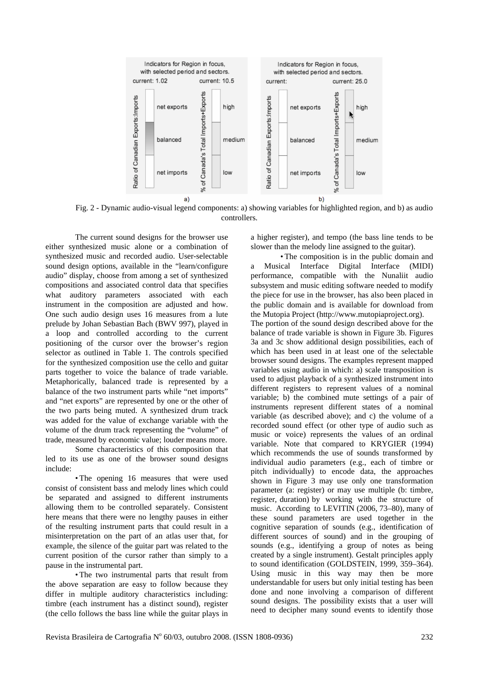

Fig. 2 - Dynamic audio-visual legend components: a) showing variables for highlighted region, and b) as audio controllers.

The current sound designs for the browser use either synthesized music alone or a combination of synthesized music and recorded audio. User-selectable sound design options, available in the "learn/configure audio" display, choose from among a set of synthesized compositions and associated control data that specifies what auditory parameters associated with each instrument in the composition are adjusted and how. One such audio design uses 16 measures from a lute prelude by Johan Sebastian Bach (BWV 997), played in a loop and controlled according to the current positioning of the cursor over the browser's region selector as outlined in Table 1. The controls specified for the synthesized composition use the cello and guitar parts together to voice the balance of trade variable. Metaphorically, balanced trade is represented by a balance of the two instrument parts while "net imports" and "net exports" are represented by one or the other of the two parts being muted. A synthesized drum track was added for the value of exchange variable with the volume of the drum track representing the "volume" of trade, measured by economic value; louder means more.

Some characteristics of this composition that led to its use as one of the browser sound designs include:

• The opening 16 measures that were used consist of consistent bass and melody lines which could be separated and assigned to different instruments allowing them to be controlled separately. Consistent here means that there were no lengthy pauses in either of the resulting instrument parts that could result in a misinterpretation on the part of an atlas user that, for example, the silence of the guitar part was related to the current position of the cursor rather than simply to a pause in the instrumental part.

• The two instrumental parts that result from the above separation are easy to follow because they differ in multiple auditory characteristics including: timbre (each instrument has a distinct sound), register (the cello follows the bass line while the guitar plays in a higher register), and tempo (the bass line tends to be slower than the melody line assigned to the guitar).

• The composition is in the public domain and a Musical Interface Digital Interface (MIDI) performance, compatible with the Nunaliit audio subsystem and music editing software needed to modify the piece for use in the browser, has also been placed in the public domain and is available for download from the Mutopia Project (http://www.mutopiaproject.org).

The portion of the sound design described above for the balance of trade variable is shown in Figure 3b. Figures 3a and 3c show additional design possibilities, each of which has been used in at least one of the selectable browser sound designs. The examples represent mapped variables using audio in which: a) scale transposition is used to adjust playback of a synthesized instrument into different registers to represent values of a nominal variable; b) the combined mute settings of a pair of instruments represent different states of a nominal variable (as described above); and c) the volume of a recorded sound effect (or other type of audio such as music or voice) represents the values of an ordinal variable. Note that compared to KRYGIER (1994) which recommends the use of sounds transformed by individual audio parameters (e.g., each of timbre or pitch individually) to encode data, the approaches shown in Figure 3 may use only one transformation parameter (a: register) or may use multiple (b: timbre, register, duration) by working with the structure of music. According to LEVITIN (2006, 73–80), many of these sound parameters are used together in the cognitive separation of sounds (e.g., identification of different sources of sound) and in the grouping of sounds (e.g., identifying a group of notes as being created by a single instrument). Gestalt principles apply to sound identification (GOLDSTEIN, 1999, 359–364). Using music in this way may then be more understandable for users but only initial testing has been done and none involving a comparison of different sound designs. The possibility exists that a user will need to decipher many sound events to identify those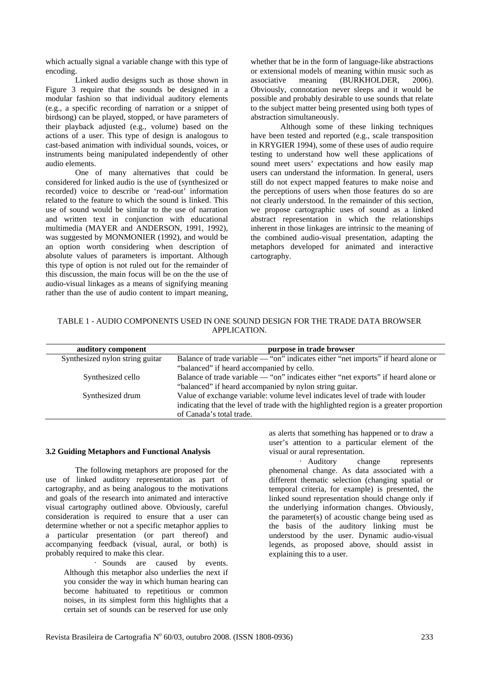which actually signal a variable change with this type of encoding.

Linked audio designs such as those shown in Figure 3 require that the sounds be designed in a modular fashion so that individual auditory elements (e.g., a specific recording of narration or a snippet of birdsong) can be played, stopped, or have parameters of their playback adjusted (e.g., volume) based on the actions of a user. This type of design is analogous to cast-based animation with individual sounds, voices, or instruments being manipulated independently of other audio elements.

One of many alternatives that could be considered for linked audio is the use of (synthesized or recorded) voice to describe or 'read-out' information related to the feature to which the sound is linked. This use of sound would be similar to the use of narration and written text in conjunction with educational multimedia (MAYER and ANDERSON, 1991, 1992), was suggested by MONMONIER (1992), and would be an option worth considering when description of absolute values of parameters is important. Although this type of option is not ruled out for the remainder of this discussion, the main focus will be on the the use of audio-visual linkages as a means of signifying meaning rather than the use of audio content to impart meaning, whether that be in the form of language-like abstractions or extensional models of meaning within music such as associative meaning (BURKHOLDER, 2006). Obviously, connotation never sleeps and it would be possible and probably desirable to use sounds that relate to the subject matter being presented using both types of abstraction simultaneously.

Although some of these linking techniques have been tested and reported (e.g., scale transposition in KRYGIER 1994), some of these uses of audio require testing to understand how well these applications of sound meet users' expectations and how easily map users can understand the information. In general, users still do not expect mapped features to make noise and the perceptions of users when those features do so are not clearly understood. In the remainder of this section, we propose cartographic uses of sound as a linked abstract representation in which the relationships inherent in those linkages are intrinsic to the meaning of the combined audio-visual presentation, adapting the metaphors developed for animated and interactive cartography.

|              | TABLE 1 - AUDIO COMPONENTS USED IN ONE SOUND DESIGN FOR THE TRADE DATA BROWSER |  |  |
|--------------|--------------------------------------------------------------------------------|--|--|
| APPLICATION. |                                                                                |  |  |

| auditory component              | purpose in trade browser                                                               |  |
|---------------------------------|----------------------------------------------------------------------------------------|--|
| Synthesized nylon string guitar | Balance of trade variable — "on" indicates either "net imports" if heard alone or      |  |
|                                 | "balanced" if heard accompanied by cello.                                              |  |
| Synthesized cello               | Balance of trade variable — "on" indicates either "net exports" if heard alone or      |  |
|                                 | "balanced" if heard accompanied by nylon string guitar.                                |  |
| Synthesized drum                | Value of exchange variable: volume level indicates level of trade with louder          |  |
|                                 | indicating that the level of trade with the highlighted region is a greater proportion |  |
|                                 | of Canada's total trade.                                                               |  |

#### **3.2 Guiding Metaphors and Functional Analysis**

The following metaphors are proposed for the use of linked auditory representation as part of cartography, and as being analogous to the motivations and goals of the research into animated and interactive visual cartography outlined above. Obviously, careful consideration is required to ensure that a user can determine whether or not a specific metaphor applies to a particular presentation (or part thereof) and accompanying feedback (visual, aural, or both) is probably required to make this clear.

> • Sounds are caused by events. Although this metaphor also underlies the next if you consider the way in which human hearing can become habituated to repetitious or common noises, in its simplest form this highlights that a certain set of sounds can be reserved for use only

as alerts that something has happened or to draw a user's attention to a particular element of the visual or aural representation.

• Auditory change represents phenomenal change. As data associated with a different thematic selection (changing spatial or temporal criteria, for example) is presented, the linked sound representation should change only if the underlying information changes. Obviously, the parameter(s) of acoustic change being used as the basis of the auditory linking must be understood by the user. Dynamic audio-visual legends, as proposed above, should assist in explaining this to a user.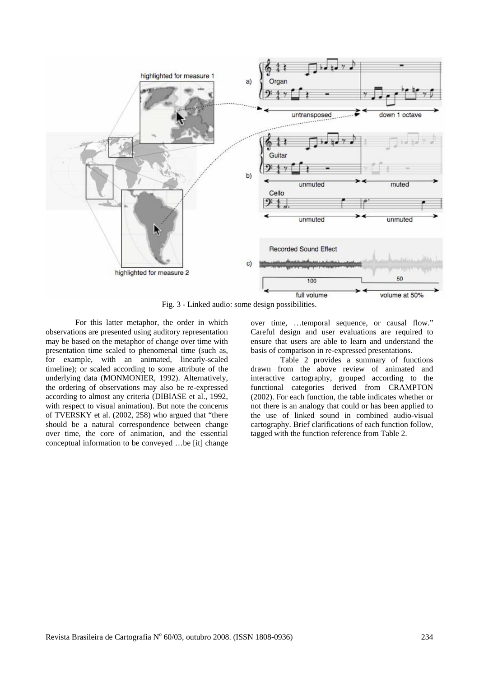

Fig. 3 - Linked audio: some design possibilities.

For this latter metaphor, the order in which observations are presented using auditory representation may be based on the metaphor of change over time with presentation time scaled to phenomenal time (such as, for example, with an animated, linearly-scaled timeline); or scaled according to some attribute of the underlying data (MONMONIER, 1992). Alternatively, the ordering of observations may also be re-expressed according to almost any criteria (DIBIASE et al., 1992, with respect to visual animation). But note the concerns of TVERSKY et al. (2002, 258) who argued that "there should be a natural correspondence between change over time, the core of animation, and the essential conceptual information to be conveyed …be [it] change

over time, …temporal sequence, or causal flow." Careful design and user evaluations are required to ensure that users are able to learn and understand the basis of comparison in re-expressed presentations.

Table 2 provides a summary of functions drawn from the above review of animated and interactive cartography, grouped according to the functional categories derived from CRAMPTON (2002). For each function, the table indicates whether or not there is an analogy that could or has been applied to the use of linked sound in combined audio-visual cartography. Brief clarifications of each function follow, tagged with the function reference from Table 2.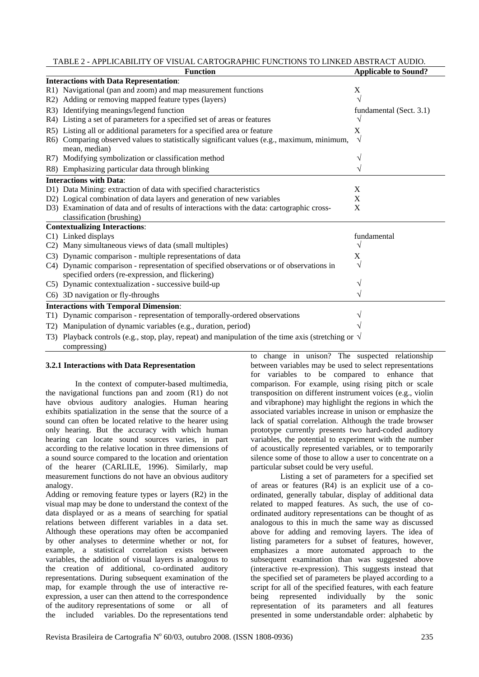TABLE 2 **-** APPLICABILITY OF VISUAL CARTOGRAPHIC FUNCTIONS TO LINKED ABSTRACT AUDIO.

|                  | <b>Function</b>                                                                                          | <b>Applicable to Sound?</b> |
|------------------|----------------------------------------------------------------------------------------------------------|-----------------------------|
|                  | <b>Interactions with Data Representation:</b>                                                            |                             |
|                  | R1) Navigational (pan and zoom) and map measurement functions                                            | X                           |
|                  | R2) Adding or removing mapped feature types (layers)                                                     | V                           |
|                  | R3) Identifying meanings/legend function                                                                 | fundamental (Sect. 3.1)     |
|                  | R4) Listing a set of parameters for a specified set of areas or features                                 | V                           |
|                  | R5) Listing all or additional parameters for a specified area or feature                                 | X                           |
|                  | R6) Comparing observed values to statistically significant values (e.g., maximum, minimum,               | $\sqrt{ }$                  |
|                  | mean, median)                                                                                            |                             |
|                  | R7) Modifying symbolization or classification method                                                     |                             |
|                  | R8) Emphasizing particular data through blinking                                                         | V                           |
|                  | <b>Interactions with Data:</b>                                                                           |                             |
|                  | D1) Data Mining: extraction of data with specified characteristics                                       | X                           |
|                  | D2) Logical combination of data layers and generation of new variables                                   | X                           |
|                  | D3) Examination of data and of results of interactions with the data: cartographic cross-                | X                           |
|                  | classification (brushing)                                                                                |                             |
|                  | <b>Contextualizing Interactions:</b>                                                                     |                             |
|                  | C1) Linked displays                                                                                      | fundamental                 |
|                  | C2) Many simultaneous views of data (small multiples)                                                    | V                           |
|                  | C3) Dynamic comparison - multiple representations of data                                                | X                           |
|                  | C4) Dynamic comparison - representation of specified observations or of observations in                  | V                           |
|                  | specified orders (re-expression, and flickering)                                                         |                             |
|                  | C5) Dynamic contextualization - successive build-up                                                      |                             |
|                  | C6) 3D navigation or fly-throughs                                                                        |                             |
|                  | <b>Interactions with Temporal Dimension:</b>                                                             |                             |
|                  | T1) Dynamic comparison - representation of temporally-ordered observations                               |                             |
| T <sub>2</sub> ) | Manipulation of dynamic variables (e.g., duration, period)                                               |                             |
| T3)              | Playback controls (e.g., stop, play, repeat) and manipulation of the time axis (stretching or $\sqrt{ }$ |                             |
|                  | compressing)                                                                                             |                             |

#### **3.2.1 Interactions with Data Representation**

In the context of computer-based multimedia, the navigational functions pan and zoom (R1) do not have obvious auditory analogies. Human hearing exhibits spatialization in the sense that the source of a sound can often be located relative to the hearer using only hearing. But the accuracy with which human hearing can locate sound sources varies, in part according to the relative location in three dimensions of a sound source compared to the location and orientation of the hearer (CARLILE, 1996). Similarly, map measurement functions do not have an obvious auditory analogy.

Adding or removing feature types or layers (R2) in the visual map may be done to understand the context of the data displayed or as a means of searching for spatial relations between different variables in a data set. Although these operations may often be accompanied by other analyses to determine whether or not, for example, a statistical correlation exists between variables, the addition of visual layers is analogous to the creation of additional, co-ordinated auditory representations. During subsequent examination of the map, for example through the use of interactive reexpression, a user can then attend to the correspondence of the auditory representations of some or all of the included variables. Do the representations tend to change in unison? The suspected relationship between variables may be used to select representations for variables to be compared to enhance that comparison. For example, using rising pitch or scale transposition on different instrument voices (e.g., violin and vibraphone) may highlight the regions in which the associated variables increase in unison or emphasize the lack of spatial correlation. Although the trade browser prototype currently presents two hard-coded auditory variables, the potential to experiment with the number of acoustically represented variables, or to temporarily silence some of those to allow a user to concentrate on a particular subset could be very useful.

Listing a set of parameters for a specified set of areas or features (R4) is an explicit use of a coordinated, generally tabular, display of additional data related to mapped features. As such, the use of coordinated auditory representations can be thought of as analogous to this in much the same way as discussed above for adding and removing layers. The idea of listing parameters for a subset of features, however, emphasizes a more automated approach to the subsequent examination than was suggested above (interactive re-expression). This suggests instead that the specified set of parameters be played according to a script for all of the specified features, with each feature being represented individually by the sonic representation of its parameters and all features presented in some understandable order: alphabetic by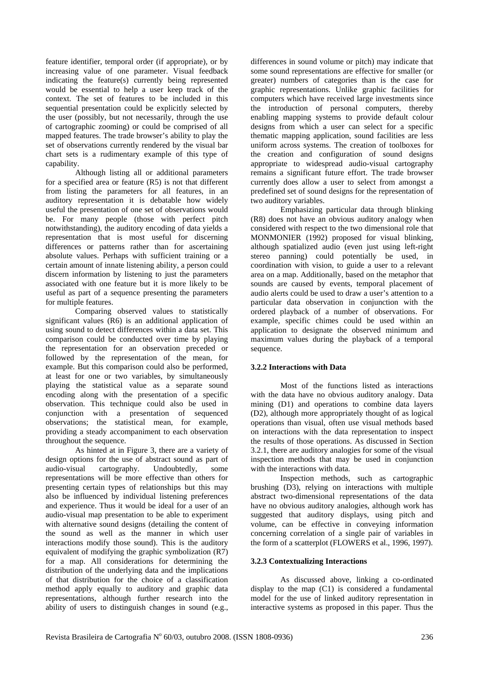feature identifier, temporal order (if appropriate), or by increasing value of one parameter. Visual feedback indicating the feature(s) currently being represented would be essential to help a user keep track of the context. The set of features to be included in this sequential presentation could be explicitly selected by the user (possibly, but not necessarily, through the use of cartographic zooming) or could be comprised of all mapped features. The trade browser's ability to play the set of observations currently rendered by the visual bar chart sets is a rudimentary example of this type of capability.

Although listing all or additional parameters for a specified area or feature (R5) is not that different from listing the parameters for all features, in an auditory representation it is debatable how widely useful the presentation of one set of observations would be. For many people (those with perfect pitch notwithstanding), the auditory encoding of data yields a representation that is most useful for discerning differences or patterns rather than for ascertaining absolute values. Perhaps with sufficient training or a certain amount of innate listening ability, a person could discern information by listening to just the parameters associated with one feature but it is more likely to be useful as part of a sequence presenting the parameters for multiple features.

Comparing observed values to statistically significant values (R6) is an additional application of using sound to detect differences within a data set. This comparison could be conducted over time by playing the representation for an observation preceded or followed by the representation of the mean, for example. But this comparison could also be performed, at least for one or two variables, by simultaneously playing the statistical value as a separate sound encoding along with the presentation of a specific observation. This technique could also be used in conjunction with a presentation of sequenced observations; the statistical mean, for example, providing a steady accompaniment to each observation throughout the sequence.

As hinted at in Figure 3, there are a variety of design options for the use of abstract sound as part of audio-visual cartography. Undoubtedly, some representations will be more effective than others for presenting certain types of relationships but this may also be influenced by individual listening preferences and experience. Thus it would be ideal for a user of an audio-visual map presentation to be able to experiment with alternative sound designs (detailing the content of the sound as well as the manner in which user interactions modify those sound). This is the auditory equivalent of modifying the graphic symbolization  $(R7)$ for a map. All considerations for determining the distribution of the underlying data and the implications of that distribution for the choice of a classification method apply equally to auditory and graphic data representations, although further research into the ability of users to distinguish changes in sound (e.g.,

differences in sound volume or pitch) may indicate that some sound representations are effective for smaller (or greater) numbers of categories than is the case for graphic representations. Unlike graphic facilities for computers which have received large investments since the introduction of personal computers, thereby enabling mapping systems to provide default colour designs from which a user can select for a specific thematic mapping application, sound facilities are less uniform across systems. The creation of toolboxes for the creation and configuration of sound designs appropriate to widespread audio-visual cartography remains a significant future effort. The trade browser currently does allow a user to select from amongst a predefined set of sound designs for the representation of two auditory variables.

Emphasizing particular data through blinking (R8) does not have an obvious auditory analogy when considered with respect to the two dimensional role that MONMONIER (1992) proposed for visual blinking, although spatialized audio (even just using left-right stereo panning) could potentially be used, in coordination with vision, to guide a user to a relevant area on a map. Additionally, based on the metaphor that sounds are caused by events, temporal placement of audio alerts could be used to draw a user's attention to a particular data observation in conjunction with the ordered playback of a number of observations. For example, specific chimes could be used within an application to designate the observed minimum and maximum values during the playback of a temporal sequence.

### **3.2.2 Interactions with Data**

Most of the functions listed as interactions with the data have no obvious auditory analogy. Data mining (D1) and operations to combine data layers (D2), although more appropriately thought of as logical operations than visual, often use visual methods based on interactions with the data representation to inspect the results of those operations. As discussed in Section 3.2.1, there are auditory analogies for some of the visual inspection methods that may be used in conjunction with the interactions with data.

Inspection methods, such as cartographic brushing (D3), relying on interactions with multiple abstract two-dimensional representations of the data have no obvious auditory analogies, although work has suggested that auditory displays, using pitch and volume, can be effective in conveying information concerning correlation of a single pair of variables in the form of a scatterplot (FLOWERS et al., 1996, 1997).

### **3.2.3 Contextualizing Interactions**

As discussed above, linking a co-ordinated display to the map (C1) is considered a fundamental model for the use of linked auditory representation in interactive systems as proposed in this paper. Thus the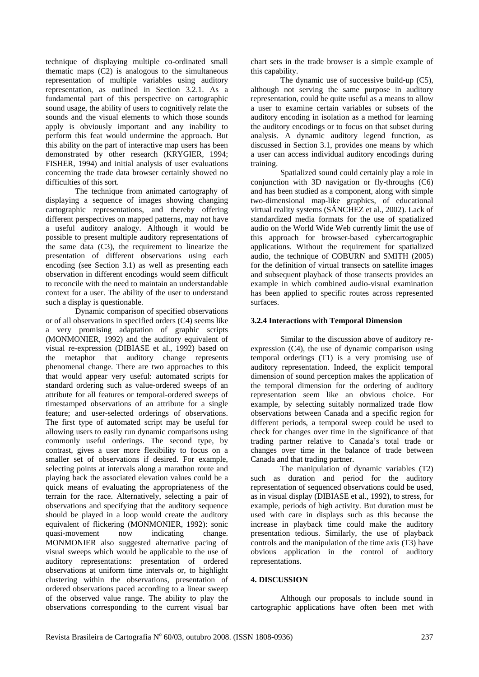technique of displaying multiple co-ordinated small thematic maps (C2) is analogous to the simultaneous representation of multiple variables using auditory representation, as outlined in Section 3.2.1. As a fundamental part of this perspective on cartographic sound usage, the ability of users to cognitively relate the sounds and the visual elements to which those sounds apply is obviously important and any inability to perform this feat would undermine the approach. But this ability on the part of interactive map users has been demonstrated by other research (KRYGIER, 1994; FISHER, 1994) and initial analysis of user evaluations concerning the trade data browser certainly showed no difficulties of this sort.

The technique from animated cartography of displaying a sequence of images showing changing cartographic representations, and thereby offering different perspectives on mapped patterns, may not have a useful auditory analogy. Although it would be possible to present multiple auditory representations of the same data (C3), the requirement to linearize the presentation of different observations using each encoding (see Section 3.1) as well as presenting each observation in different encodings would seem difficult to reconcile with the need to maintain an understandable context for a user. The ability of the user to understand such a display is questionable.

Dynamic comparison of specified observations or of all observations in specified orders (C4) seems like a very promising adaptation of graphic scripts (MONMONIER, 1992) and the auditory equivalent of visual re-expression (DIBIASE et al., 1992) based on the metaphor that auditory change represents phenomenal change. There are two approaches to this that would appear very useful: automated scripts for standard ordering such as value-ordered sweeps of an attribute for all features or temporal-ordered sweeps of timestamped observations of an attribute for a single feature; and user-selected orderings of observations. The first type of automated script may be useful for allowing users to easily run dynamic comparisons using commonly useful orderings. The second type, by contrast, gives a user more flexibility to focus on a smaller set of observations if desired. For example, selecting points at intervals along a marathon route and playing back the associated elevation values could be a quick means of evaluating the appropriateness of the terrain for the race. Alternatively, selecting a pair of observations and specifying that the auditory sequence should be played in a loop would create the auditory equivalent of flickering (MONMONIER, 1992): sonic<br>quasi-movement now indicating change. quasi-movement now indicating change. MONMONIER also suggested alternative pacing of visual sweeps which would be applicable to the use of auditory representations: presentation of ordered observations at uniform time intervals or, to highlight clustering within the observations, presentation of ordered observations paced according to a linear sweep of the observed value range. The ability to play the observations corresponding to the current visual bar

chart sets in the trade browser is a simple example of this capability.

The dynamic use of successive build-up (C5), although not serving the same purpose in auditory representation, could be quite useful as a means to allow a user to examine certain variables or subsets of the auditory encoding in isolation as a method for learning the auditory encodings or to focus on that subset during analysis. A dynamic auditory legend function, as discussed in Section 3.1, provides one means by which a user can access individual auditory encodings during training.

Spatialized sound could certainly play a role in conjunction with 3D navigation or fly-throughs  $(C6)$ and has been studied as a component, along with simple two-dimensional map-like graphics, of educational virtual reality systems (SÁNCHEZ et al., 2002). Lack of standardized media formats for the use of spatialized audio on the World Wide Web currently limit the use of this approach for browser-based cybercartographic applications. Without the requirement for spatialized audio, the technique of COBURN and SMITH (2005) for the definition of virtual transects on satellite images and subsequent playback of those transects provides an example in which combined audio-visual examination has been applied to specific routes across represented surfaces.

#### **3.2.4 Interactions with Temporal Dimension**

Similar to the discussion above of auditory reexpression (C4), the use of dynamic comparison using temporal orderings (T1) is a very promising use of auditory representation. Indeed, the explicit temporal dimension of sound perception makes the application of the temporal dimension for the ordering of auditory representation seem like an obvious choice. For example, by selecting suitably normalized trade flow observations between Canada and a specific region for different periods, a temporal sweep could be used to check for changes over time in the significance of that trading partner relative to Canada's total trade or changes over time in the balance of trade between Canada and that trading partner.

The manipulation of dynamic variables (T2) such as duration and period for the auditory representation of sequenced observations could be used, as in visual display (DIBIASE et al., 1992), to stress, for example, periods of high activity. But duration must be used with care in displays such as this because the increase in playback time could make the auditory presentation tedious. Similarly, the use of playback controls and the manipulation of the time axis (T3) have obvious application in the control of auditory representations.

#### **4. DISCUSSION**

Although our proposals to include sound in cartographic applications have often been met with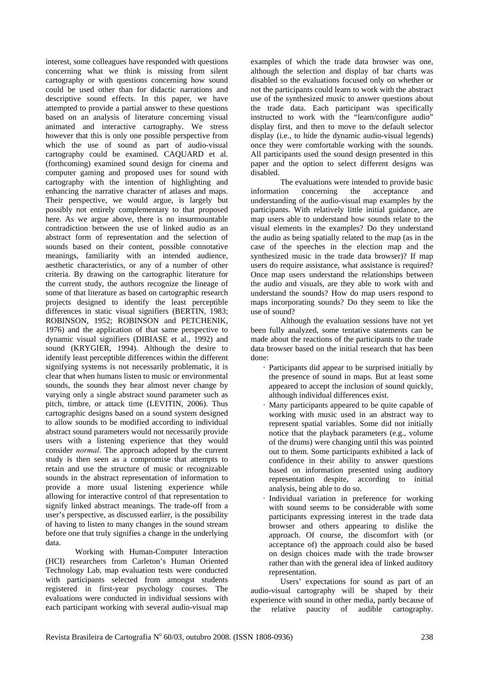interest, some colleagues have responded with questions concerning what we think is missing from silent cartography or with questions concerning how sound could be used other than for didactic narrations and descriptive sound effects. In this paper, we have attempted to provide a partial answer to these questions based on an analysis of literature concerning visual animated and interactive cartography. We stress however that this is only one possible perspective from which the use of sound as part of audio-visual cartography could be examined. CAQUARD et al. (forthcoming) examined sound design for cinema and computer gaming and proposed uses for sound with cartography with the intention of highlighting and enhancing the narrative character of atlases and maps. Their perspective, we would argue, is largely but possibly not entirely complementary to that proposed here. As we argue above, there is no insurmountable contradiction between the use of linked audio as an abstract form of representation and the selection of sounds based on their content, possible connotative meanings, familiarity with an intended audience, aesthetic characteristics, or any of a number of other criteria. By drawing on the cartographic literature for the current study, the authors recognize the lineage of some of that literature as based on cartographic research projects designed to identify the least perceptible differences in static visual signifiers (BERTIN, 1983; ROBINSON, 1952; ROBINSON and PETCHENIK, 1976) and the application of that same perspective to dynamic visual signifiers (DIBIASE et al., 1992) and sound (KRYGIER, 1994). Although the desire to identify least perceptible differences within the different signifying systems is not necessarily problematic, it is clear that when humans listen to music or environmental sounds, the sounds they hear almost never change by varying only a single abstract sound parameter such as pitch, timbre, or attack time (LEVITIN, 2006). Thus cartographic designs based on a sound system designed to allow sounds to be modified according to individual abstract sound parameters would not necessarily provide users with a listening experience that they would consider *normal*. The approach adopted by the current study is then seen as a compromise that attempts to retain and use the structure of music or recognizable sounds in the abstract representation of information to provide a more usual listening experience while allowing for interactive control of that representation to signify linked abstract meanings. The trade-off from a user's perspective, as discussed earlier, is the possibility of having to listen to many changes in the sound stream before one that truly signifies a change in the underlying data.

Working with Human-Computer Interaction (HCI) researchers from Carleton's Human Oriented Technology Lab, map evaluation tests were conducted with participants selected from amongst students registered in first-year psychology courses. The evaluations were conducted in individual sessions with each participant working with several audio-visual map examples of which the trade data browser was one, although the selection and display of bar charts was disabled so the evaluations focused only on whether or not the participants could learn to work with the abstract use of the synthesized music to answer questions about the trade data. Each participant was specifically instructed to work with the "learn/configure audio" display first, and then to move to the default selector display (i.e., to hide the dynamic audio-visual legends) once they were comfortable working with the sounds. All participants used the sound design presented in this paper and the option to select different designs was disabled.

The evaluations were intended to provide basic information concerning the acceptance and understanding of the audio-visual map examples by the participants. With relatively little initial guidance, are map users able to understand how sounds relate to the visual elements in the examples? Do they understand the audio as being spatially related to the map (as in the case of the speeches in the election map and the synthesized music in the trade data browser)? If map users do require assistance, what assistance is required? Once map users understand the relationships between the audio and visuals, are they able to work with and understand the sounds? How do map users respond to maps incorporating sounds? Do they seem to like the use of sound?

Although the evaluation sessions have not yet been fully analyzed, some tentative statements can be made about the reactions of the participants to the trade data browser based on the initial research that has been done:

- Participants did appear to be surprised initially by the presence of sound in maps. But at least some appeared to accept the inclusion of sound quickly, although individual differences exist.
- Many participants appeared to be quite capable of working with music used in an abstract way to represent spatial variables. Some did not initially notice that the playback parameters (e.g., volume of the drums) were changing until this was pointed out to them. Some participants exhibited a lack of confidence in their ability to answer questions based on information presented using auditory representation despite, according to initial analysis, being able to do so.
- Individual variation in preference for working with sound seems to be considerable with some participants expressing interest in the trade data browser and others appearing to dislike the approach. Of course, the discomfort with (or acceptance of) the approach could also be based on design choices made with the trade browser rather than with the general idea of linked auditory representation.

Users' expectations for sound as part of an audio-visual cartography will be shaped by their experience with sound in other media, partly because of the relative paucity of audible cartography.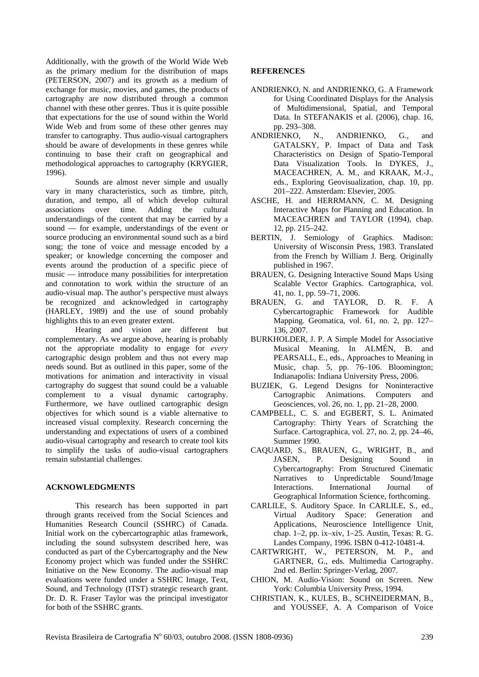Additionally, with the growth of the World Wide Web as the primary medium for the distribution of maps (PETERSON, 2007) and its growth as a medium of exchange for music, movies, and games, the products of cartography are now distributed through a common channel with these other genres. Thus it is quite possible that expectations for the use of sound within the World Wide Web and from some of these other genres may transfer to cartography. Thus audio-visual cartographers should be aware of developments in these genres while continuing to base their craft on geographical and methodological approaches to cartography (KRYGIER, 1996).

Sounds are almost never simple and usually vary in many characteristics, such as timbre, pitch, duration, and tempo, all of which develop cultural associations over time. Adding the cultural understandings of the content that may be carried by a sound — for example, understandings of the event or source producing an environmental sound such as a bird song; the tone of voice and message encoded by a speaker; or knowledge concerning the composer and events around the production of a specific piece of music — introduce many possibilities for interpretation and connotation to work within the structure of an audio-visual map. The author's perspective must always be recognized and acknowledged in cartography (HARLEY, 1989) and the use of sound probably highlights this to an even greater extent.

Hearing and vision are different but complementary. As we argue above, hearing is probably not the appropriate modality to engage for *every* cartographic design problem and thus not every map needs sound. But as outlined in this paper, some of the motivations for animation and interactivity in visual cartography do suggest that sound could be a valuable complement to a visual dynamic cartography. Furthermore, we have outlined cartographic design objectives for which sound is a viable alternative to increased visual complexity. Research concerning the understanding and expectations of users of a combined audio-visual cartography and research to create tool kits to simplify the tasks of audio-visual cartographers remain substantial challenges.

#### **ACKNOWLEDGMENTS**

This research has been supported in part through grants received from the Social Sciences and Humanities Research Council (SSHRC) of Canada. Initial work on the cybercartographic atlas framework, including the sound subsystem described here, was conducted as part of the Cybercartography and the New Economy project which was funded under the SSHRC Initiative on the New Economy. The audio-visual map evaluations were funded under a SSHRC Image, Text, Sound, and Technology (ITST) strategic research grant. Dr. D. R. Fraser Taylor was the principal investigator for both of the SSHRC grants.

#### **REFERENCES**

- ANDRIENKO, N. and ANDRIENKO, G. A Framework for Using Coordinated Displays for the Analysis of Multidimensional, Spatial, and Temporal Data. In STEFANAKIS et al. (2006), chap. 16, pp. 293–308.
- ANDRIENKO, N., ANDRIENKO, G., and GATALSKY, P. Impact of Data and Task Characteristics on Design of Spatio-Temporal Data Visualization Tools. In DYKES, J., MACEACHREN, A. M., and KRAAK, M.-J., eds., Exploring Geovisualization, chap. 10, pp. 201–222. Amsterdam: Elsevier, 2005.
- ASCHE, H. and HERRMANN, C. M. Designing Interactive Maps for Planning and Education. In MACEACHREN and TAYLOR (1994), chap. 12, pp. 215–242.
- BERTIN, J. Semiology of Graphics. Madison: University of Wisconsin Press, 1983. Translated from the French by William J. Berg. Originally published in 1967.
- BRAUEN, G. Designing Interactive Sound Maps Using Scalable Vector Graphics. Cartographica, vol. 41, no. 1, pp. 59–71, 2006.
- BRAUEN, G. and TAYLOR, D. R. F. A Cybercartographic Framework for Audible Mapping. Geomatica, vol. 61, no. 2, pp. 127– 136, 2007.
- BURKHOLDER, J. P. A Simple Model for Associative Musical Meaning. In ALMÉN, B. and PEARSALL, E., eds., Approaches to Meaning in Music, chap. 5, pp. 76–106. Bloomington; Indianapolis: Indiana University Press, 2006.
- BUZIEK, G. Legend Designs for Noninteractive Cartographic Animations. Computers and Geosciences, vol. 26, no. 1, pp. 21–28, 2000.
- CAMPBELL, C. S. and EGBERT, S. L. Animated Cartography: Thirty Years of Scratching the Surface. Cartographica, vol. 27, no. 2, pp. 24–46, Summer 1990.
- CAQUARD, S., BRAUEN, G., WRIGHT, B., and JASEN, P. Designing Sound in Cybercartography: From Structured Cinematic Narratives to Unpredictable Sound/Image Interactions. International Journal of Geographical Information Science, forthcoming.
- CARLILE, S. Auditory Space. In CARLILE, S., ed., Virtual Auditory Space: Generation and Applications, Neuroscience Intelligence Unit, chap. 1–2, pp. ix–xiv, 1–25. Austin, Texas: R. G. Landes Company, 1996. ISBN 0-412-10481-4.
- CARTWRIGHT, W., PETERSON, M. P., and GARTNER, G., eds. Multimedia Cartography. 2nd ed. Berlin: Springer-Verlag, 2007.
- CHION, M. Audio-Vision: Sound on Screen. New York: Columbia University Press, 1994.
- CHRISTIAN, K., KULES, B., SCHNEIDERMAN, B., and YOUSSEF, A. A Comparison of Voice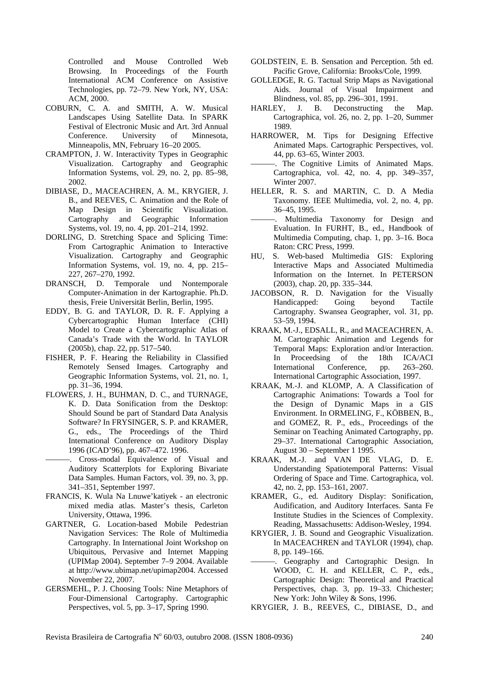Controlled and Mouse Controlled Web Browsing. In Proceedings of the Fourth International ACM Conference on Assistive Technologies, pp. 72–79. New York, NY, USA: ACM, 2000.

- COBURN, C. A. and SMITH, A. W. Musical Landscapes Using Satellite Data. In SPARK Festival of Electronic Music and Art. 3rd Annual Conference. University of Minnesota, Minneapolis, MN, February 16–20 2005.
- CRAMPTON, J. W. Interactivity Types in Geographic Visualization. Cartography and Geographic Information Systems, vol. 29, no. 2, pp. 85–98, 2002.
- DIBIASE, D., MACEACHREN, A. M., KRYGIER, J. B., and REEVES, C. Animation and the Role of Map Design in Scientific Visualization. Cartography and Geographic Information Systems, vol. 19, no. 4, pp. 201–214, 1992.
- DORLING, D. Stretching Space and Splicing Time: From Cartographic Animation to Interactive Visualization. Cartography and Geographic Information Systems, vol. 19, no. 4, pp. 215– 227, 267–270, 1992.
- DRANSCH, D. Temporale und Nontemporale Computer-Animation in der Kartographie. Ph.D. thesis, Freie Universität Berlin, Berlin, 1995.
- EDDY, B. G. and TAYLOR, D. R. F. Applying a Cybercartographic Human Interface (CHI) Model to Create a Cybercartographic Atlas of Canada's Trade with the World. In TAYLOR (2005b), chap. 22, pp. 517–540.
- FISHER, P. F. Hearing the Reliability in Classified Remotely Sensed Images. Cartography and Geographic Information Systems, vol. 21, no. 1, pp. 31–36, 1994.
- FLOWERS, J. H., BUHMAN, D. C., and TURNAGE, K. D. Data Sonification from the Desktop: Should Sound be part of Standard Data Analysis Software? In FRYSINGER, S. P. and KRAMER, G., eds., The Proceedings of the Third International Conference on Auditory Display 1996 (ICAD'96), pp. 467–472. 1996.
- ———. Cross-modal Equivalence of Visual and Auditory Scatterplots for Exploring Bivariate Data Samples. Human Factors, vol. 39, no. 3, pp. 341–351, September 1997.
- FRANCIS, K. Wula Na Lnuwe'katiyek an electronic mixed media atlas. Master's thesis, Carleton University, Ottawa, 1996.
- GARTNER, G. Location-based Mobile Pedestrian Navigation Services: The Role of Multimedia Cartography. In International Joint Workshop on Ubiquitous, Pervasive and Internet Mapping (UPIMap 2004). September 7–9 2004. Available at http://www.ubimap.net/upimap2004. Accessed November 22, 2007.
- GERSMEHL, P. J. Choosing Tools: Nine Metaphors of Four-Dimensional Cartography. Cartographic Perspectives, vol. 5, pp. 3–17, Spring 1990.
- GOLDSTEIN, E. B. Sensation and Perception. 5th ed. Pacific Grove, California: Brooks/Cole, 1999.
- GOLLEDGE, R. G. Tactual Strip Maps as Navigational Aids. Journal of Visual Impairment and Blindness, vol. 85, pp. 296–301, 1991.
- HARLEY, J. B. Deconstructing the Map. Cartographica, vol. 26, no. 2, pp. 1–20, Summer 1989.
- HARROWER, M. Tips for Designing Effective Animated Maps. Cartographic Perspectives, vol. 44, pp. 63–65, Winter 2003.
- -. The Cognitive Limits of Animated Maps. Cartographica, vol. 42, no. 4, pp. 349–357, Winter 2007.
- HELLER, R. S. and MARTIN, C. D. A Media Taxonomy. IEEE Multimedia, vol. 2, no. 4, pp. 36–45, 1995.
- Multimedia Taxonomy for Design and Evaluation. In FURHT, B., ed., Handbook of Multimedia Computing, chap. 1, pp. 3–16. Boca Raton: CRC Press, 1999.
- HU, S. Web-based Multimedia GIS: Exploring Interactive Maps and Associated Multimedia Information on the Internet. In PETERSON (2003), chap. 20, pp. 335–344.
- JACOBSON, R. D. Navigation for the Visually Handicapped: Going beyond Tactile Cartography. Swansea Geographer, vol. 31, pp. 53–59, 1994.
- KRAAK, M.-J., EDSALL, R., and MACEACHREN, A. M. Cartographic Animation and Legends for Temporal Maps: Exploration and/or Interaction. In Proceedsing of the 18th ICA/ACI<br>International Conference, pp. 263–260. International Conference, pp. International Cartographic Association, 1997.
- KRAAK, M.-J. and KLOMP, A. A Classification of Cartographic Animations: Towards a Tool for the Design of Dynamic Maps in a GIS Environment. In ORMELING, F., KÖBBEN, B., and GOMEZ, R. P., eds., Proceedings of the Seminar on Teaching Animated Cartography, pp. 29–37. International Cartographic Association, August 30 – September 1 1995.
- KRAAK, M.-J. and VAN DE VLAG, D. E. Understanding Spatiotemporal Patterns: Visual Ordering of Space and Time. Cartographica, vol. 42, no. 2, pp. 153–161, 2007.
- KRAMER, G., ed. Auditory Display: Sonification, Audification, and Auditory Interfaces. Santa Fe Institute Studies in the Sciences of Complexity. Reading, Massachusetts: Addison-Wesley, 1994.
- KRYGIER, J. B. Sound and Geographic Visualization. In MACEACHREN and TAYLOR (1994), chap. 8, pp. 149–166.
- ———. Geography and Cartographic Design. In WOOD, C. H. and KELLER, C. P., eds., Cartographic Design: Theoretical and Practical Perspectives, chap. 3, pp. 19–33. Chichester; New York: John Wiley & Sons, 1996.
- KRYGIER, J. B., REEVES, C., DIBIASE, D., and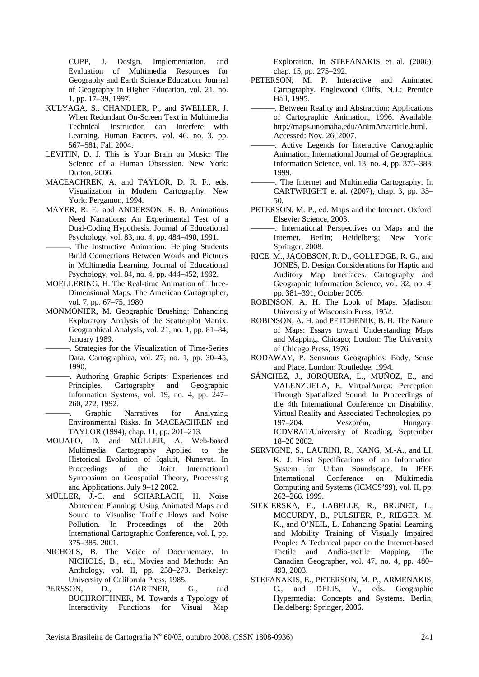CUPP, J. Design, Implementation, and Evaluation of Multimedia Resources for Geography and Earth Science Education. Journal of Geography in Higher Education, vol. 21, no. 1, pp. 17–39, 1997.

- KULYAGA, S., CHANDLER, P., and SWELLER, J. When Redundant On-Screen Text in Multimedia Technical Instruction can Interfere with Learning. Human Factors, vol. 46, no. 3, pp. 567–581, Fall 2004.
- LEVITIN, D. J. This is Your Brain on Music: The Science of a Human Obsession. New York: Dutton, 2006.
- MACEACHREN, A. and TAYLOR, D. R. F., eds. Visualization in Modern Cartography. New York: Pergamon, 1994.
- MAYER, R. E. and ANDERSON, R. B. Animations Need Narrations: An Experimental Test of a Dual-Coding Hypothesis. Journal of Educational Psychology, vol. 83, no. 4, pp. 484–490, 1991.
- ———. The Instructive Animation: Helping Students Build Connections Between Words and Pictures in Multimedia Learning. Journal of Educational Psychology, vol. 84, no. 4, pp. 444–452, 1992.
- MOELLERING, H. The Real-time Animation of Three-Dimensional Maps. The American Cartographer, vol. 7, pp. 67–75, 1980.
- MONMONIER, M. Geographic Brushing: Enhancing Exploratory Analysis of the Scatterplot Matrix. Geographical Analysis, vol. 21, no. 1, pp. 81–84, January 1989.
	- ———. Strategies for the Visualization of Time-Series Data. Cartographica, vol. 27, no. 1, pp. 30–45, 1990.
- ———. Authoring Graphic Scripts: Experiences and Principles. Cartography and Geographic Information Systems, vol. 19, no. 4, pp. 247– 260, 272, 1992.
- Graphic Narratives for Analyzing Environmental Risks. In MACEACHREN and TAYLOR (1994), chap. 11, pp. 201–213.
- MOUAFO, D. and MÜLLER, A. Web-based Multimedia Cartography Applied to the Historical Evolution of Iqaluit, Nunavut. In Proceedings of the Joint International Symposium on Geospatial Theory, Processing and Applications. July 9–12 2002.
- MÜLLER, J.-C. and SCHARLACH, H. Noise Abatement Planning: Using Animated Maps and Sound to Visualise Traffic Flows and Noise Pollution. In Proceedings of the 20th International Cartographic Conference, vol. I, pp. 375–385. 2001.
- NICHOLS, B. The Voice of Documentary. In NICHOLS, B., ed., Movies and Methods: An Anthology, vol. II, pp. 258–273. Berkeley: University of California Press, 1985.
- PERSSON, D., GARTNER, G., and BUCHROITHNER, M. Towards a Typology of Interactivity Functions for Visual Map

Exploration. In STEFANAKIS et al. (2006), chap. 15, pp. 275–292.

- PETERSON, M. P. Interactive and Animated Cartography. Englewood Cliffs, N.J.: Prentice Hall, 1995.
- -. Between Reality and Abstraction: Applications of Cartographic Animation, 1996. Available: http://maps.unomaha.edu/AnimArt/article.html. Accessed: Nov. 26, 2007.
- -. Active Legends for Interactive Cartographic Animation. International Journal of Geographical Information Science, vol. 13, no. 4, pp. 375–383, 1999.
- ———. The Internet and Multimedia Cartography. In CARTWRIGHT et al. (2007), chap. 3, pp. 35– 50.
- PETERSON, M. P., ed. Maps and the Internet. Oxford: Elsevier Science, 2003.
- ———. International Perspectives on Maps and the Internet. Berlin; Heidelberg; New York: Springer, 2008.
- RICE, M., JACOBSON, R. D., GOLLEDGE, R. G., and JONES, D. Design Considerations for Haptic and Auditory Map Interfaces. Cartography and Geographic Information Science, vol. 32, no. 4, pp. 381–391, October 2005.
- ROBINSON, A. H. The Look of Maps. Madison: University of Wisconsin Press, 1952.
- ROBINSON, A. H. and PETCHENIK, B. B. The Nature of Maps: Essays toward Understanding Maps and Mapping. Chicago; London: The University of Chicago Press, 1976.
- RODAWAY, P. Sensuous Geographies: Body, Sense and Place. London: Routledge, 1994.
- SÁNCHEZ, J., JORQUERA, L., MUÑOZ, E., and VALENZUELA, E. VirtualAurea: Perception Through Spatialized Sound. In Proceedings of the 4th International Conference on Disability, Virtual Reality and Associated Technologies, pp. 197–204. Veszprém, Hungary: ICDVRAT/University of Reading, September 18–20 2002.
- SERVIGNE, S., LAURINI, R., KANG, M.-A., and LI, K. J. First Specifications of an Information System for Urban Soundscape. In IEEE International Conference on Multimedia Computing and Systems (ICMCS'99), vol. II, pp. 262–266. 1999.
- SIEKIERSKA, E., LABELLE, R., BRUNET, L., MCCURDY, B., PULSIFER, P., RIEGER, M. K., and O'NEIL, L. Enhancing Spatial Learning and Mobility Training of Visually Impaired People: A Technical paper on the Internet-based Tactile and Audio-tactile Mapping. The Canadian Geographer, vol. 47, no. 4, pp. 480– 493, 2003.
- STEFANAKIS, E., PETERSON, M. P., ARMENAKIS, C., and DELIS, V., eds. Geographic Hypermedia: Concepts and Systems. Berlin; Heidelberg: Springer, 2006.